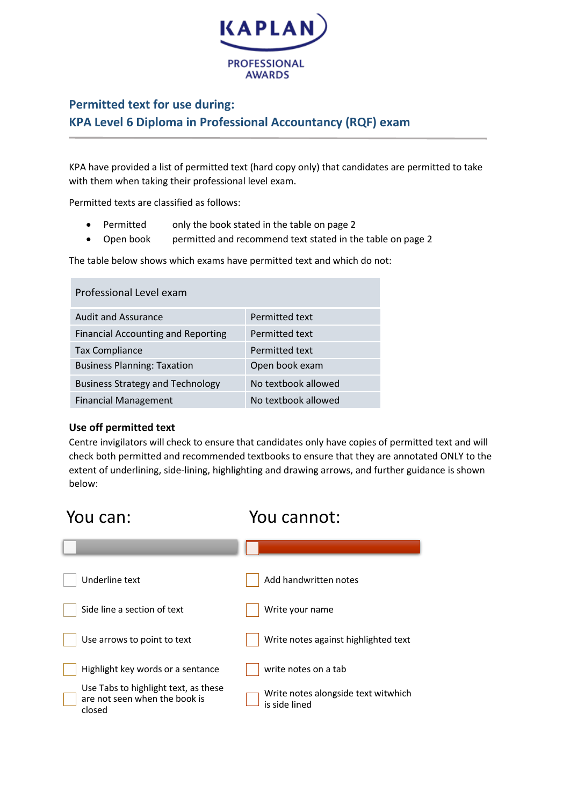

## **Permitted text for use during: KPA Level 6 Diploma in Professional Accountancy (RQF) exam**

KPA have provided a list of permitted text (hard copy only) that candidates are permitted to take with them when taking their professional level exam.

Permitted texts are classified as follows:

- Permitted only the book stated in the table on page 2
- Open book permitted and recommend text stated in the table on page 2

The table below shows which exams have permitted text and which do not:

| Professional Level exam                   |                     |
|-------------------------------------------|---------------------|
| <b>Audit and Assurance</b>                | Permitted text      |
| <b>Financial Accounting and Reporting</b> | Permitted text      |
| <b>Tax Compliance</b>                     | Permitted text      |
| <b>Business Planning: Taxation</b>        | Open book exam      |
| <b>Business Strategy and Technology</b>   | No textbook allowed |
| <b>Financial Management</b>               | No textbook allowed |

## **Use off permitted text**

**The State** 

Centre invigilators will check to ensure that candidates only have copies of permitted text and will check both permitted and recommended textbooks to ensure that they are annotated ONLY to the extent of underlining, side-lining, highlighting and drawing arrows, and further guidance is shown below:

| You can:                                                                        | You cannot:                                          |
|---------------------------------------------------------------------------------|------------------------------------------------------|
|                                                                                 |                                                      |
| Underline text                                                                  | Add handwritten notes                                |
| Side line a section of text                                                     | Write your name                                      |
| Use arrows to point to text                                                     | Write notes against highlighted text                 |
| Highlight key words or a sentance                                               | write notes on a tab                                 |
| Use Tabs to highlight text, as these<br>are not seen when the book is<br>closed | Write notes alongside text witwhich<br>is side lined |